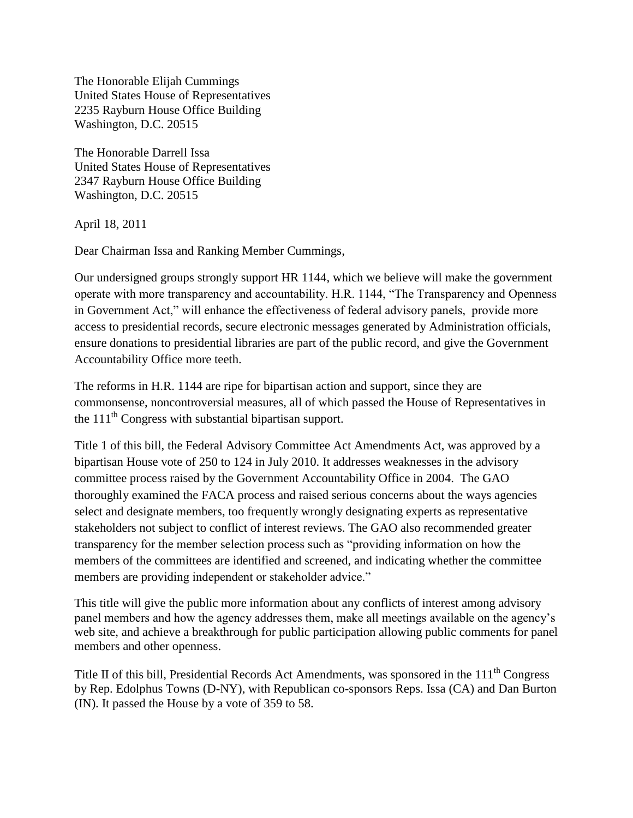The Honorable Elijah Cummings United States House of Representatives 2235 Rayburn House Office Building Washington, D.C. 20515

The Honorable Darrell Issa United States House of Representatives 2347 Rayburn House Office Building Washington, D.C. 20515

April 18, 2011

Dear Chairman Issa and Ranking Member Cummings,

Our undersigned groups strongly support HR 1144, which we believe will make the government operate with more transparency and accountability. H.R. 1144, "The Transparency and Openness in Government Act," will enhance the effectiveness of federal advisory panels, provide more access to presidential records, secure electronic messages generated by Administration officials, ensure donations to presidential libraries are part of the public record, and give the Government Accountability Office more teeth.

The reforms in H.R. 1144 are ripe for bipartisan action and support, since they are commonsense, noncontroversial measures, all of which passed the House of Representatives in the 111th Congress with substantial bipartisan support.

Title 1 of this bill, the Federal Advisory Committee Act Amendments Act, was approved by a bipartisan House vote of 250 to 124 in July 2010. It addresses weaknesses in the advisory committee process raised by the Government Accountability Office in 2004. The GAO thoroughly examined the FACA process and raised serious concerns about the ways agencies select and designate members, too frequently wrongly designating experts as representative stakeholders not subject to conflict of interest reviews. The GAO also recommended greater transparency for the member selection process such as "providing information on how the members of the committees are identified and screened, and indicating whether the committee members are providing independent or stakeholder advice."

This title will give the public more information about any conflicts of interest among advisory panel members and how the agency addresses them, make all meetings available on the agency's web site, and achieve a breakthrough for public participation allowing public comments for panel members and other openness.

Title II of this bill, Presidential Records Act Amendments, was sponsored in the 111<sup>th</sup> Congress by Rep. Edolphus Towns (D-NY), with Republican co-sponsors Reps. Issa (CA) and Dan Burton (IN). It passed the House by a vote of 359 to 58.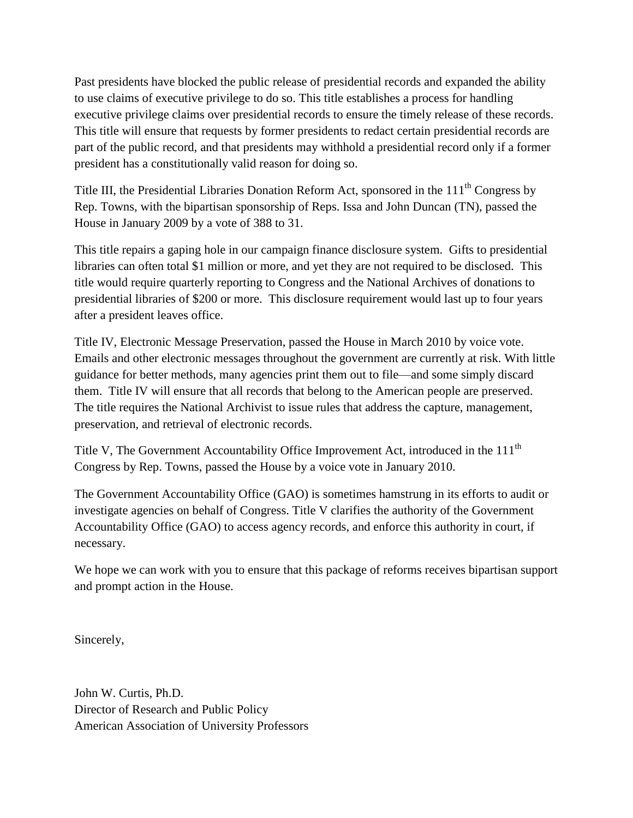Past presidents have blocked the public release of presidential records and expanded the ability to use claims of executive privilege to do so. This title establishes a process for handling executive privilege claims over presidential records to ensure the timely release of these records. This title will ensure that requests by former presidents to redact certain presidential records are part of the public record, and that presidents may withhold a presidential record only if a former president has a constitutionally valid reason for doing so.

Title III, the Presidential Libraries Donation Reform Act, sponsored in the 111<sup>th</sup> Congress by Rep. Towns, with the bipartisan sponsorship of Reps. Issa and John Duncan (TN), passed the House in January 2009 by a vote of 388 to 31.

This title repairs a gaping hole in our campaign finance disclosure system. Gifts to presidential libraries can often total \$1 million or more, and yet they are not required to be disclosed. This title would require quarterly reporting to Congress and the National Archives of donations to presidential libraries of \$200 or more. This disclosure requirement would last up to four years after a president leaves office.

Title IV, Electronic Message Preservation, passed the House in March 2010 by voice vote. Emails and other electronic messages throughout the government are currently at risk. With little guidance for better methods, many agencies print them out to file—and some simply discard them. Title IV will ensure that all records that belong to the American people are preserved. The title requires the National Archivist to issue rules that address the capture, management, preservation, and retrieval of electronic records.

Title V, The Government Accountability Office Improvement Act, introduced in the 111<sup>th</sup> Congress by Rep. Towns, passed the House by a voice vote in January 2010.

The Government Accountability Office (GAO) is sometimes hamstrung in its efforts to audit or investigate agencies on behalf of Congress. Title V clarifies the authority of the Government Accountability Office (GAO) to access agency records, and enforce this authority in court, if necessary.

We hope we can work with you to ensure that this package of reforms receives bipartisan support and prompt action in the House.

Sincerely,

John W. Curtis, Ph.D. Director of Research and Public Policy American Association of University Professors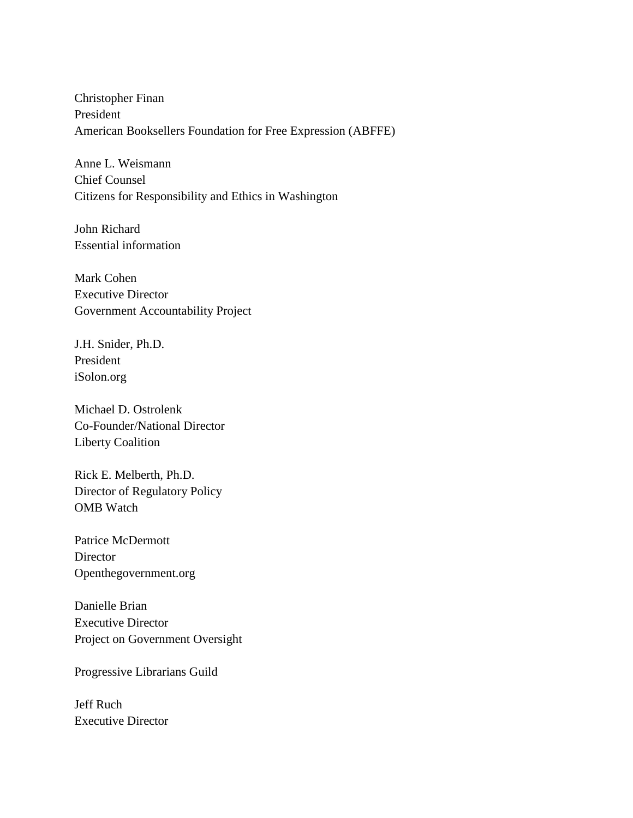Christopher Finan President American Booksellers Foundation for Free Expression (ABFFE)

Anne L. Weismann Chief Counsel Citizens for Responsibility and Ethics in Washington

John Richard Essential information

Mark Cohen Executive Director Government Accountability Project

J.H. Snider, Ph.D. President iSolon.org

Michael D. Ostrolenk Co-Founder/National Director Liberty Coalition

Rick E. Melberth, Ph.D. Director of Regulatory Policy OMB Watch

Patrice McDermott **Director** Openthegovernment.org

Danielle Brian Executive Director Project on Government Oversight

Progressive Librarians Guild

Jeff Ruch Executive Director